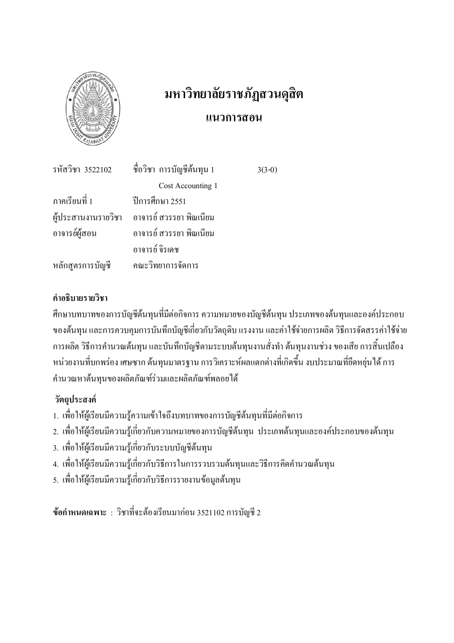

# มหาวิทยาลัยราชภัฏสวนดุสิต แนวการสอน

 $3(3-0)$ 

| รหัสวิชา 3522102 | ู้ ชื่อวิชา การบัญชีต้นทุน 1                |
|------------------|---------------------------------------------|
|                  | Cost Accounting 1                           |
| ภาคเรียนที่ 1    | ปีการศึกษา 2551                             |
|                  | ผู้ประสานงานรายวิชา อาจารย์ สวรรยา พิณเนียม |
| อาจารย์ผู้สอน    | อาจารย์ สวรรยา พิณเนียม                     |
|                  | อาจารย์ จิรเคช                              |
| หลักสูตรการบัญชี | คณะวิทยาการจัดการ                           |

## คำคริบายรายวิชา

้ศึกษาบทบาทของการบัญชีต้นทุนที่มีต่อกิจการ ความหมายของบัญชีต้นทุน ประเภทของต้นทุนและองค์ประกอบ ของต้นทน และการควบคมการบันทึกบัญชีเกี่ยวกับวัตถุดิบ แรงงาน และค่าใช้จ่ายการผลิต วิธีการจัดสรรค่าใช้จ่าย ึการผลิต วิธีการคำนวณต้นทุน และบันทึกบัญชีตามระบบต้นทุนงานสั่งทำ ต้นทุนงานช่วง ของเสีย การสิ้นเปลือง หน่วยงานที่บกพร่อง เศษซาก ต้นทุนมาตรฐาน การวิเคราะห์ผลแตกต่างที่เกิดขึ้น งบประมาณที่ยึดหย่นได้ การ คำนวณหาต้นทุนของผลิตภัณฑ์ร่วมและผลิตภัณฑ์พลอยใด้

# วัตถประสงค์

- 1. เพื่อให้ผู้เรียนมีความรู้ความเข้าใจถึงบทบาทของการบัญชีต้นทุนที่มีต่อกิจการ
- 2. เพื่อให้ผู้เรียนมีความรู้เกี่ยวกับความหมายของการบัญชีต้นทุน ประเภทต้นทุนและองค์ประกอบของต้นทุน
- 3. เพื่อให้ผู้เรียนมีความรู้เกี่ยวกับระบบบัญชีต้นทุน
- 4. เพื่อให้ผู้เรียนมีความรู้เกี่ยวกับวิธีการในการรวบรวมต้นทุนและวิธีการคิดคำนวณต้นทุน
- 5. เพื่อให้ผู้เรียนมีความรู้เกี่ยวกับวิธีการรายงานข้อมูลต้นทน

ข้อกำหนดเฉพาะ : วิชาที่จะต้องเรียนมาก่อน 3521102 การบัญชี 2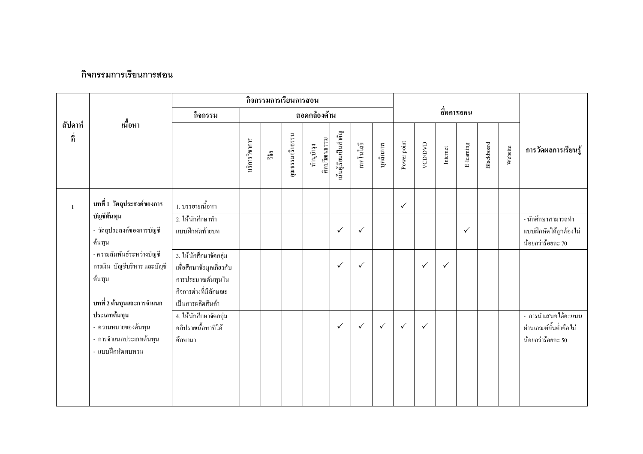## กิจกรรมการเรียนการสอน

|                |                                                                                                     |                                                                                                                        |               | กิจกรรมการเรียนการสอน |                 |                           |                       |              |              |              |               |              |              |            |         |                                                                    |
|----------------|-----------------------------------------------------------------------------------------------------|------------------------------------------------------------------------------------------------------------------------|---------------|-----------------------|-----------------|---------------------------|-----------------------|--------------|--------------|--------------|---------------|--------------|--------------|------------|---------|--------------------------------------------------------------------|
|                |                                                                                                     | กิจกรรม                                                                                                                |               |                       |                 | สอดคล้องด้าน              |                       |              |              |              |               |              | สื่อการสอน   |            |         |                                                                    |
| สัปดาห์<br>ที่ | เนื้อหา                                                                                             |                                                                                                                        | บริการวิชาการ | ີ້າຢ້                 | คุณธรรมจริยธรรม | ศิลปวัฒนธรรม<br>ทำนุบำรุง | นั้นผู้เรียนเป็นสำคัญ | เทคโนโลยี    | บุคลิกภาพ    | Power point  | <b>ACDOMD</b> | Internet     | E-leaming    | Blackboard | Website | การวัดผลการเรียนรู้                                                |
| $\mathbf{1}$   | บทที่ 1 วัตถุประสงค์ของการ                                                                          | 1. บรรยายเนื้อหา                                                                                                       |               |                       |                 |                           |                       |              |              | $\checkmark$ |               |              |              |            |         |                                                                    |
|                | บัญชีต้นทุน<br>- วัตถุประสงค์ของการบัญชี<br>ด้นทุน                                                  | 2. ให้นักศึกษาทำ<br>แบบฝึกหัดท้ายบท                                                                                    |               |                       |                 |                           | $\checkmark$          | $\checkmark$ |              |              |               |              | $\checkmark$ |            |         | - นักศึกษาสามารถทำ<br>แบบฝึกหัดใค้ถูกต้องไม่<br>น้อยกว่าร้อยละ 70  |
|                | - ความสัมพันธ์ระหว่างบัญชี<br>การเงิน บัญชีบริหาร และบัญชี<br>ค้นทุน<br>ี บทที่ 2 ต้นทุนและการจำแนก | 3. ให้นักศึกษาจัดกลุ่ม<br>เพื่อศึกษาข้อมูลเกี่ยวกับ<br>การประมาณค้นทุนใน<br>กิจการต่างที่มีลักษณะ<br>เป็นการผลิตสินค้า |               |                       |                 |                           | $\checkmark$          | ✓            |              |              | $\checkmark$  | $\checkmark$ |              |            |         |                                                                    |
|                | ประเภทต้นทุน<br>- ความหมายของต้นทุน<br>- การจำแนกประเภทด้นทุน<br>- แบบฝึกหัดทบทวน                   | 4. ให้นักศึกษาจัดกลุ่ม<br>อภิปรายเนื้อหาที่ได้<br>ศึกษามา                                                              |               |                       |                 |                           | $\checkmark$          | $\checkmark$ | $\checkmark$ | $\checkmark$ | $\checkmark$  |              |              |            |         | - การนำเสนอได้คะแนน<br>ผ่านเกณฑ์ขั้นต่ำคือไม่<br>น้อยกว่าร้อยละ 50 |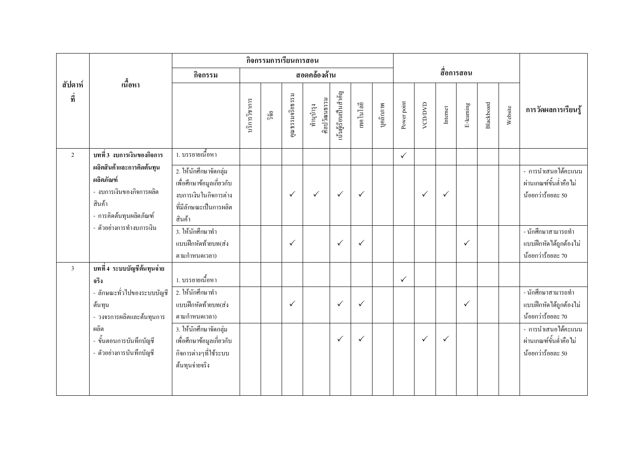|                |                                                                                                         |                                                                                                                  |               | กิจกรรมการเรียนการสอน |                 |                           |                       |              |           |              |         |              |              |            |         |                                                                    |
|----------------|---------------------------------------------------------------------------------------------------------|------------------------------------------------------------------------------------------------------------------|---------------|-----------------------|-----------------|---------------------------|-----------------------|--------------|-----------|--------------|---------|--------------|--------------|------------|---------|--------------------------------------------------------------------|
|                |                                                                                                         | กิจกรรม                                                                                                          |               |                       |                 | สอดคล้องด้าน              |                       |              |           |              |         |              | สื่อการสอน   |            |         |                                                                    |
| สัปดาห์<br>ที่ | ้เนื้อหา                                                                                                |                                                                                                                  | บริการวิชาการ | ີ້າຢ້                 | คุณธรรมจริยธรรม | ศิลปวัฒนธรรม<br>ทำนุบำรุง | นั้นผู้เรียนเป็นสำคัญ | เทคโนโลยี    | บุคลิกภาพ | Power point  | VCD/DVD | Internet     | E-leaming    | Blackboard | Website | การวัดผลการเรียนรู้                                                |
| $\overline{2}$ | บทที่ 3 งบการเงินของกิจการ                                                                              | 1. บรรยายเนื้อหา                                                                                                 |               |                       |                 |                           |                       |              |           | $\checkmark$ |         |              |              |            |         |                                                                    |
|                | ผลิตสินค้าและการคิดต้นทุน<br>ผลิตภัณฑ์<br>- งบการเงินของกิจการผลิต<br>สินค้า<br>- การคิดต้นทุนผลิตภัณฑ์ | 2. ให้นักศึกษาจัดกลุ่ม<br>เพื่อศึกษาข้อมูลเกี่ยวกับ<br>งบการเงินในกิจการต่าง<br>ที่มีลักษณะเป็นการผลิต<br>สินค้า |               |                       | $\checkmark$    | $\checkmark$              | $\checkmark$          | $\checkmark$ |           |              | ✓       | $\checkmark$ |              |            |         | - การนำเสนอได้คะแนน<br>ผ่านเกณฑ์ขั้นต่ำคือไม่<br>น้อยกว่าร้อยละ 50 |
|                | - ตัวอย่างการทำงบการเงิน                                                                                | 3. ให้นักศึกษาทำ<br>แบบฝึกหัดท้ายบท(ส่ง<br>ิตามกำหนดเวลา)                                                        |               |                       | $\checkmark$    |                           | $\checkmark$          | $\checkmark$ |           |              |         |              | $\checkmark$ |            |         | - นักศึกษาสามารถทำ<br>แบบฝึกหัดใค้ถูกต้องไม่<br>น้อยกว่าร้อยละ 70  |
| $\mathfrak{Z}$ | บทที่ 4 ระบบบัญชีต้นทุนจ่าย<br>จริง                                                                     | 1. บรรยายเนื้อหา                                                                                                 |               |                       |                 |                           |                       |              |           | $\checkmark$ |         |              |              |            |         |                                                                    |
|                | - ลักษณะทั่วไปของระบบบัญชี<br>ด้นทุน<br>- วงจรการผลิตและต้นทุนการ                                       | 2. ให้นักศึกษาทำ<br>แบบฝึกหัดท้ายบท(ส่ง<br>ิตามกำหนดเวลา)                                                        |               |                       | $\checkmark$    |                           | $\checkmark$          | $\checkmark$ |           |              |         |              | $\checkmark$ |            |         | - นักศึกษาสามารถทำ<br>แบบฝึกหัดได้ถูกต้องไม่<br>น้อยกว่าร้อยละ 70  |
|                | ผลิต<br>- ขั้นตอนการบันทึกบัญชี<br>- ตัวอย่างการบันทึกบัญชี                                             | 3. ให้นักศึกษาจัดกลุ่ม<br>เพื่อศึกษาข้อมูลเกี่ยวกับ<br>กิจการต่างๆที่ใช้ระบบ<br>ด้นทุนจ่ายจริง                   |               |                       |                 |                           | $\checkmark$          | $\checkmark$ |           |              | ✓       | $\checkmark$ |              |            |         | - การนำเสนอได้คะแนน<br>ผ่านเกณฑ์ขั้นต่ำคือไม่<br>น้อยกว่าร้อยละ 50 |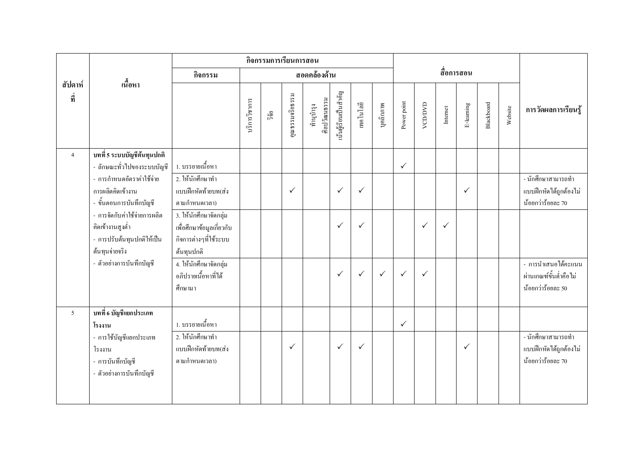|                |                                                                                                  |                                                                                            |               | กิจกรรมการเรียนการสอน |                 |                           |                       |              |              |              |              |              |            |            |         |                                                                    |
|----------------|--------------------------------------------------------------------------------------------------|--------------------------------------------------------------------------------------------|---------------|-----------------------|-----------------|---------------------------|-----------------------|--------------|--------------|--------------|--------------|--------------|------------|------------|---------|--------------------------------------------------------------------|
|                |                                                                                                  | กิจกรรม                                                                                    |               |                       |                 | สอดคล้องด้าน              |                       |              |              |              |              |              | สื่อการสอน |            |         |                                                                    |
| สัปดาห์<br>ที่ | เนื้อหา                                                                                          |                                                                                            | บริการวิชาการ | วิจัย                 | คุณธรรมจริยธรรม | ศิลปวัฒนธรรม<br>ทำนุบำรุง | นั้นผู้เรียนเป็นสำคัญ | เทคโนโลยี    | บุคลิกภาพ    | Power point  | VCD/DVD      | Internet     | E-leaming  | Blackboard | Website | การวัดผลการเรียนรู้                                                |
| $\overline{4}$ | บทที่ 5 ระบบบัญชีต้นทุนปกติ<br>- ลักษณะทั่วไปของระบบบัญชี                                        | 1. บรรยายเนื้อหา                                                                           |               |                       |                 |                           |                       |              |              | $\checkmark$ |              |              |            |            |         |                                                                    |
|                | - การกำหนดอัตราค่าใช้จ่าย<br>การผลิตกิดเข้างาน<br>- ขั้นตอนการบันทึกบัญชี                        | 2. ให้นักศึกษาทำ<br>แบบฝึกหัดท้ายบท(ส่ง<br>ตามกำหนดเวลา)                                   |               |                       | $\checkmark$    |                           | $\checkmark$          | $\checkmark$ |              |              |              |              | ✓          |            |         | - นักศึกษาสามารถทำ<br>แบบฝึกหัดได้ถูกต้องไม่<br>น้อยกว่าร้อยละ 70  |
|                | - การจัดกับค่าใช้จ่ายการผลิต<br>คิดเข้างานสูงต่ำ<br>- การปรับต้นทุนปกติให้เป็น<br>ด้นทุนจ่ายจริง | 3. ให้นักศึกษาจัดกลุ่ม<br>เพื่อศึกษาข้อมูลเกี่ยวกับ<br>กิจการต่างๆที่ใช้ระบบ<br>ด้นทุนปกติ |               |                       |                 |                           | $\checkmark$          | $\checkmark$ |              |              | $\checkmark$ | $\checkmark$ |            |            |         |                                                                    |
|                | - ตัวอย่างการบันทึกบัญชี                                                                         | 4. ให้นักศึกษาจัดกลุ่ม<br>้อภิปรายเนื้อหาที่ได้<br>ศึกษามา                                 |               |                       |                 |                           | $\checkmark$          | $\checkmark$ | $\checkmark$ | $\checkmark$ | $\checkmark$ |              |            |            |         | - การนำเสนอได้คะแนน<br>ผ่านเกณฑ์ขั้นต่ำคือไม่<br>น้อยกว่าร้อยละ 50 |
| 5              | ิบทที่ 6 บัญชีแยกประเภท<br>โรงงาน                                                                | 1. บรรยายเนื้อหา                                                                           |               |                       |                 |                           |                       |              |              | $\checkmark$ |              |              |            |            |         |                                                                    |
|                | - การใช้บัญชีแยกประเภท<br>โรงงาน<br>- การบันทึกบัญชี<br>- ตัวอย่างการบันทึกบัญชี                 | 2. ให้นักศึกษาทำ<br>แบบฝึกหัดท้ายบท(ส่ง<br>ตามกำหนดเวลา)                                   |               |                       | $\checkmark$    |                           | $\checkmark$          | $\checkmark$ |              |              |              |              | ✓          |            |         | - นักศึกษาสามารถทำ<br>แบบฝึกหัดได้ถูกต้องไม่<br>น้อยกว่าร้อยละ 70  |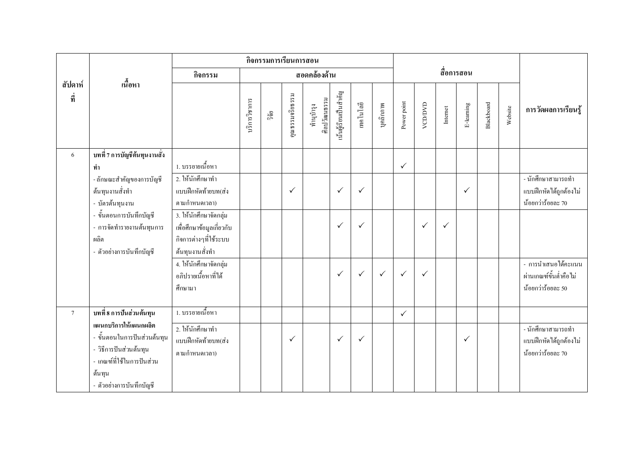|                  |                                                                                                                                                   |                                                                                    |               |       | กิจกรรมการเรียนการสอน |                           |                       |              |              |              |              |              |              |            |         |                                                                    |
|------------------|---------------------------------------------------------------------------------------------------------------------------------------------------|------------------------------------------------------------------------------------|---------------|-------|-----------------------|---------------------------|-----------------------|--------------|--------------|--------------|--------------|--------------|--------------|------------|---------|--------------------------------------------------------------------|
|                  |                                                                                                                                                   | กิจกรรม                                                                            |               |       |                       | สอดคล้องด้าน              |                       |              |              |              |              |              | สื่อการสอน   |            |         |                                                                    |
| สัปดาห์<br>ที่   | เนื้อหา                                                                                                                                           |                                                                                    | บริการวิชาการ | วิจัย | คุณธรรมจริยธรรม       | ศิลปวัฒนธรรม<br>ทำนุบำรุง | นั้นผู้เรียนเป็นสำคัญ | เทคโนโลยี    | บุคลิกภาพ    | Power point  | VCD/DVD      | Internet     | E-leaming    | Blackboard | Website | การวัดผลการเรียนรู้                                                |
| 6                | ิบทที่ 7 การบัญชีต้นทุนงานสั่ง<br>ทำ                                                                                                              | 1. บรรยายเนื้อหา                                                                   |               |       |                       |                           |                       |              |              | $\checkmark$ |              |              |              |            |         |                                                                    |
|                  | - ลักษณะสำคัญของการบัญชี<br>ด้นทุนงานสั่งทำ<br>- บัตรต้นทุนงาน<br>- ขั้นตอนการบันทึกบัญชี                                                         | 2. ให้นักศึกษาทำ<br>แบบฝึกหัดท้ายบท(ส่ง<br>ตามกำหนดเวลา)<br>3. ให้นักศึกษาจัดกลุ่ม |               |       | $\checkmark$          |                           | $\checkmark$          | $\checkmark$ |              |              |              |              | $\checkmark$ |            |         | - นักศึกษาสามารถทำ<br>แบบฝึกหัดได้ถูกต้องไม่<br>น้อยกว่าร้อยละ 70  |
|                  | - การจัดทำรายงานต้นทุนการ<br>ผลิต<br>- ตัวอย่างการบันทึกบัญชี                                                                                     | เพื่อศึกษาข้อมูลเกี่ยวกับ<br>กิจการต่างๆที่ใช้ระบบ<br>ด้นทุนงานสั่งทำ              |               |       |                       |                           | $\checkmark$          | $\checkmark$ |              |              | $\checkmark$ | $\checkmark$ |              |            |         |                                                                    |
|                  |                                                                                                                                                   | 4. ให้นักศึกษาจัดกลุ่ม<br>อภิปรายเนื้อหาที่ได้<br>ศึกษามา                          |               |       |                       |                           | $\checkmark$          | $\checkmark$ | $\checkmark$ | $\checkmark$ | $\checkmark$ |              |              |            |         | - การนำเสนอได้คะแนน<br>ผ่านเกณฑ์ขั้นต่ำคือไม่<br>น้อยกว่าร้อยละ 50 |
| $\boldsymbol{7}$ | บทที่ 8 การปันส่วนต้นทุน                                                                                                                          | 1. บรรยายเนื้อหา                                                                   |               |       |                       |                           |                       |              |              | $\checkmark$ |              |              |              |            |         |                                                                    |
|                  | แผนกบริการให้แผนกผลิต<br>- ขั้นตอนในการปันส่วนต้นทุน<br>- วิธีการปันส่วนต้นทุน<br>- เกณฑ์ที่ใช้ในการปันส่วน<br>ด้นทุน<br>- ตัวอย่างการบันทึกบัญชี | 2. ให้นักศึกษาทำ<br>แบบฝึกหัดท้ายบท(ส่ง<br>ิตามกำหนดเวลา)                          |               |       | $\checkmark$          |                           | $\checkmark$          | $\checkmark$ |              |              |              |              | $\checkmark$ |            |         | - นักศึกษาสามารถทำ<br>แบบฝึกหัดได้ถูกต้องไม่<br>น้อยกว่าร้อยละ 70  |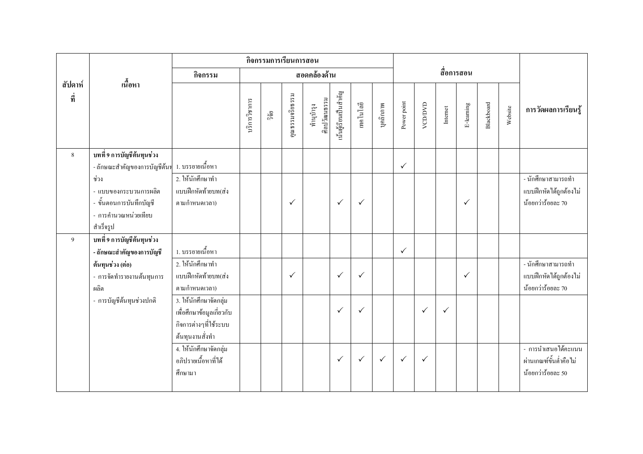|                |                                                                                               |                                                                                                 |               | กิจกรรมการเรียนการสอน |                 |                           |                       |              |              |              |              |              |              |            |         |                                                                    |
|----------------|-----------------------------------------------------------------------------------------------|-------------------------------------------------------------------------------------------------|---------------|-----------------------|-----------------|---------------------------|-----------------------|--------------|--------------|--------------|--------------|--------------|--------------|------------|---------|--------------------------------------------------------------------|
|                |                                                                                               | กิจกรรม                                                                                         |               |                       |                 | สอดคล้องด้าน              |                       |              |              |              |              |              | สื่อการสอน   |            |         |                                                                    |
| สัปดาห์<br>ที่ | เนื้อหา                                                                                       |                                                                                                 | บริการวิชาการ | วิจัย                 | คุณธรรมจริยธรรม | ศิลปวัฒนธรรม<br>ทำนุบำรุง | นั้นผู้เรียนเป็นสำคัญ | เทคโนโลยี    | บุคลิกภาพ    | Power point  | VCD/DVD      | Internet     | E-leaming    | Blackboard | Website | การวัดผลการเรียนรู้                                                |
| $\,8\,$        | ิบทที่ 9 การบัญชีต้นทุนช่วง                                                                   |                                                                                                 |               |                       |                 |                           |                       |              |              |              |              |              |              |            |         |                                                                    |
|                | - ลักษณะสำคัญของการบัญชีต้นท                                                                  | 1. บรรยายเนื้อหา                                                                                |               |                       |                 |                           |                       |              |              | $\checkmark$ |              |              |              |            |         |                                                                    |
|                | ช่วง<br>- แบบของกระบวนการผลิต<br>- ขั้นตอนการบันทึกบัญชี<br>- การคำนวณหน่วยเทียบ<br>สำเร็จรูป | 2. ให้นักศึกษาทำ<br>แบบฝึกหัดท้ายบท(ส่ง<br>ิตามกำหนดเวลา)                                       |               |                       | $\checkmark$    |                           | $\checkmark$          | $\checkmark$ |              |              |              |              | $\checkmark$ |            |         | - นักศึกษาสามารถทำ<br>แบบฝึกหัดได้ถูกต้องไม่<br>น้อยกว่าร้อยละ 70  |
| 9              | บทที่ 9 การบัญชีต้นทุนช่วง                                                                    |                                                                                                 |               |                       |                 |                           |                       |              |              |              |              |              |              |            |         |                                                                    |
|                | - ลักษณะสำคัญของการบัญชี                                                                      | 1. บรรยายเนื้อหา                                                                                |               |                       |                 |                           |                       |              |              | $\checkmark$ |              |              |              |            |         |                                                                    |
|                | ต้นทุนช่วง (ต่อ)<br>- การจัดทำรายงานต้นทุนการ<br>ผลิต                                         | 2. ให้นักศึกษาทำ<br>แบบฝึกหัดท้ายบท(ส่ง<br>ิตามกำหนดเวลา)                                       |               |                       | $\checkmark$    |                           | $\checkmark$          | $\checkmark$ |              |              |              |              | $\checkmark$ |            |         | - นักศึกษาสามารถทำ<br>แบบฝึกหัดได้ถูกต้องไม่<br>น้อยกว่าร้อยละ 70  |
|                | - การบัญชีต้นทุนช่วงปกติ                                                                      | 3. ให้นักศึกษาจัดกลุ่ม<br>เพื่อศึกษาข้อมูลเกี่ยวกับ<br>กิจการต่างๆที่ใช้ระบบ<br>ด้นทุนงานสั่งทำ |               |                       |                 |                           | $\checkmark$          | $\checkmark$ |              |              | $\checkmark$ | $\checkmark$ |              |            |         |                                                                    |
|                |                                                                                               | 4. ให้นักศึกษาจัดกลุ่ม<br>อภิปรายเนื้อหาที่ได้<br>ศึกษามา                                       |               |                       |                 |                           | $\checkmark$          | $\checkmark$ | $\checkmark$ | $\checkmark$ | $\checkmark$ |              |              |            |         | - การนำเสนอได้คะแนน<br>ผ่านเกณฑ์ขั้นต่ำคือไม่<br>น้อยกว่าร้อยละ 50 |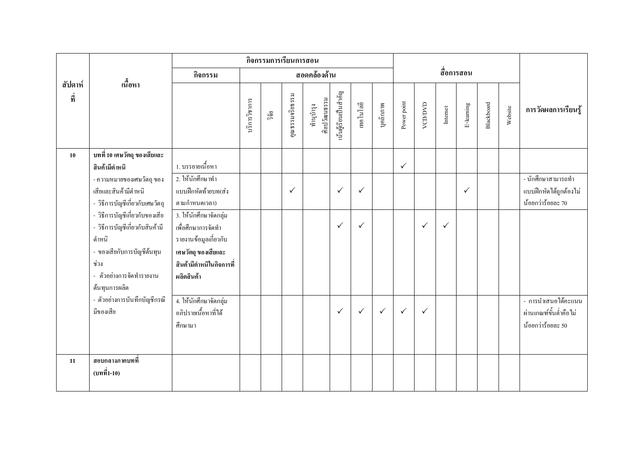|                |                                                                                      |                                                           |               |      | กิจกรรมการเรียนการสอน |                           |                       |              |              |              |              |              |            |            |         |                                                                         |
|----------------|--------------------------------------------------------------------------------------|-----------------------------------------------------------|---------------|------|-----------------------|---------------------------|-----------------------|--------------|--------------|--------------|--------------|--------------|------------|------------|---------|-------------------------------------------------------------------------|
|                |                                                                                      | กิจกรรม                                                   |               |      |                       | สอดคล้องด้าน              |                       |              |              |              |              |              | สื่อการสอน |            |         |                                                                         |
| สัปดาห์<br>ที่ | ้เนื้อหา                                                                             |                                                           | บริการวิชาการ | ີ້າຍ | คุณธรรมจริยธรรม       | ศิลปวัฒนธรรม<br>ทำนุบำรุง | นั้นผู้เรียนเป็นสำคัญ | เทคโนโลยี    | บุคลิกภาพ    | Power point  | VCD/DVD      | Internet     | E-leaming  | Blackboard | Website | การวัดผลการเรียนรู้                                                     |
| 10             | ิบทที่ 10 เศษวัตถุ ของเสียและ                                                        |                                                           |               |      |                       |                           |                       |              |              |              |              |              |            |            |         |                                                                         |
|                | สินค้ามีตำหนิ                                                                        | 1. บรรยายเนื้อหา                                          |               |      |                       |                           |                       |              |              | $\checkmark$ |              |              |            |            |         |                                                                         |
|                | - ความหมายของเศษวัตถุ ของ<br>เสียและสินค้ามีตำหนิ<br>- วิธีการบัญชีเกี่ยวกับเศษวัตถุ | 2. ให้นักศึกษาทำ<br>แบบฝึกหัดท้ายบท(ส่ง<br>ิตามกำหนดเวลา) |               |      | $\checkmark$          |                           | $\checkmark$          | $\checkmark$ |              |              |              |              | ✓          |            |         | __<br>- นักศึกษาสามารถทำ<br>แบบฝึกหัดใค้ถูกต้องไม่<br>น้อยกว่าร้อยละ 70 |
|                | - วิธีการบัญชีเกี่ยวกับของเสีย                                                       | 3. ให้นักศึกษาจัดกลุ่ม                                    |               |      |                       |                           |                       |              |              |              |              |              |            |            |         |                                                                         |
|                | - วิธีการบัญชีเกี่ยวกับสินค้ามี<br>ดำหนิ                                             | เพื่อศึกษาการจัดทำ<br>รายงานข้อมูลเกี่ยวกับ               |               |      |                       |                           | $\checkmark$          | $\checkmark$ |              |              | $\checkmark$ | $\checkmark$ |            |            |         |                                                                         |
|                | - ของเสียกับการบัญชีต้นทุน<br>ช่วง                                                   | เศษวัตถุ ของเสียและ<br>สินค้ามีตำหนีในกิจการที่           |               |      |                       |                           |                       |              |              |              |              |              |            |            |         |                                                                         |
|                | - ตัวอย่างการจัดทำรายงาน<br>ด้นทุนการผลิต                                            | ผลิตสินค้า                                                |               |      |                       |                           |                       |              |              |              |              |              |            |            |         |                                                                         |
|                | - ตัวอย่างการบันทึกบัญชีกรณี<br>มีของเสีย                                            | 4. ให้นักศึกษาจัดกลุ่ม<br>อภิปรายเนื้อหาที่ได้<br>ศึกษามา |               |      |                       |                           | $\checkmark$          | $\checkmark$ | $\checkmark$ | $\checkmark$ | $\checkmark$ |              |            |            |         | - การนำเสนอได้คะแนน<br>ผ่านเกณฑ์ขั้นต่ำคือไม่<br>น้อยกว่าร้อยละ 50      |
| 11             | สอบกลางภาคบทที่<br>(บทที่1-10)                                                       |                                                           |               |      |                       |                           |                       |              |              |              |              |              |            |            |         |                                                                         |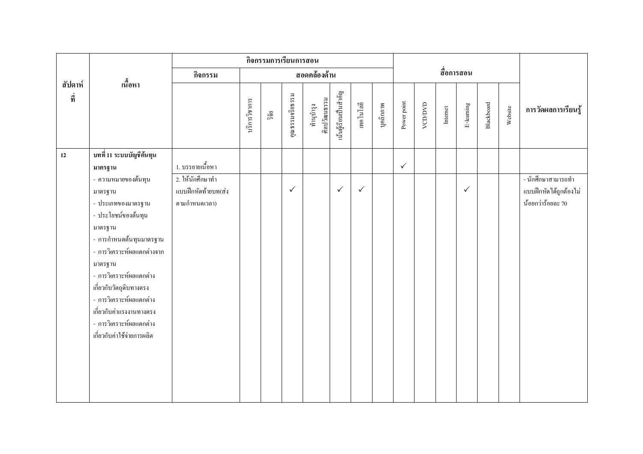|                |                                                                                                                                                                                                                                                                                                                                   |                                                          |               | กิจกรรมการเรียนการสอน |                 |                           |                       |              |           |              |         |                         |              |            |         |                                                                   |
|----------------|-----------------------------------------------------------------------------------------------------------------------------------------------------------------------------------------------------------------------------------------------------------------------------------------------------------------------------------|----------------------------------------------------------|---------------|-----------------------|-----------------|---------------------------|-----------------------|--------------|-----------|--------------|---------|-------------------------|--------------|------------|---------|-------------------------------------------------------------------|
|                |                                                                                                                                                                                                                                                                                                                                   | กิจกรรม                                                  |               |                       |                 | สอดคล้องด้าน              |                       |              |           |              |         |                         | สื่อการสอน   |            |         |                                                                   |
| สัปดาห์<br>ที่ | เนื้อหา                                                                                                                                                                                                                                                                                                                           |                                                          | บริการวิชาการ | ີ້າຢ                  | คุณธรรมจริยธรรม | ศิลปวัฒนธรรม<br>ทำนุบำรุง | นั้นผู้เรียนเป็นสำคัญ | เทคโนโลยี    | บุคลิกภาพ | Power point  | VCD/DVD | $\label{eq:1}$ Internet | E-leaming    | Blackboard | Website | การวัดผลการเรียนรู้                                               |
| 12             | บทที่ 11 ระบบบัญชีต้นทุน<br>มาตรฐาน                                                                                                                                                                                                                                                                                               | 1. บรรยายเนื้อหา                                         |               |                       |                 |                           |                       |              |           | $\checkmark$ |         |                         |              |            |         |                                                                   |
|                | - ความหมายของต้นทุน<br>มาตรฐาน<br>- ประเภทของมาตรฐาน<br>- ประโยชน์ของต้นทุน<br>มาตรฐาน<br>- การกำหนดดั้นทุนมาตรฐาน<br>- การวิเคราะห์ผลแตกต่างจาก<br>มาตรฐาน<br>- การวิเคราะห์ผลแตกต่าง<br>เกี่ยวกับวัตถุดิบทางตรง<br>- การวิเคราะห์ผลแตกต่าง<br>เกี่ยวกับค่าแรงงานทางตรง<br>- การวิเคราะห์ผลแตกต่าง<br>เกี่ยวกับค่าใช้จ่ายการผลิต | 2. ให้นักศึกษาทำ<br>แบบฝึกหัดท้ายบท(ส่ง<br>ตามกำหนดเวลา) |               |                       | $\checkmark$    |                           | $\checkmark$          | $\checkmark$ |           |              |         |                         | $\checkmark$ |            |         | - นักศึกษาสามารถทำ<br>แบบฝึกหัดได้ถูกต้องไม่<br>น้อยกว่าร้อยละ 70 |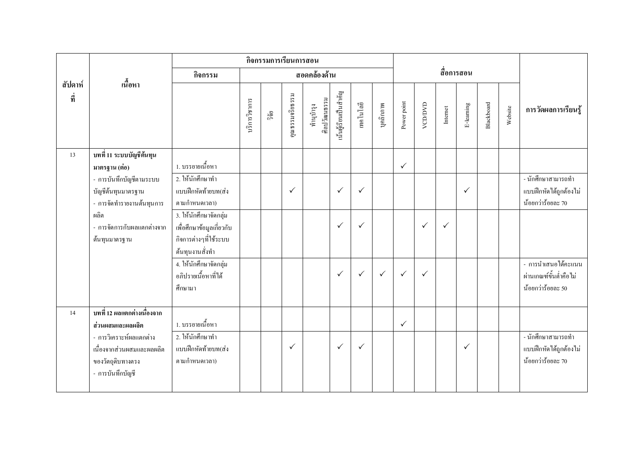|                |                                               |                                                |               |       | กิจกรรมการเรียนการสอน |                           |                       |              |              |              |              |                         |              |            |         |                                               |
|----------------|-----------------------------------------------|------------------------------------------------|---------------|-------|-----------------------|---------------------------|-----------------------|--------------|--------------|--------------|--------------|-------------------------|--------------|------------|---------|-----------------------------------------------|
|                |                                               | กิจกรรม                                        |               |       |                       | สอดคล้องด้าน              |                       |              |              |              |              |                         | สื่อการสอน   |            |         |                                               |
| สัปดาห์<br>ที่ | เนื้อหา                                       |                                                | บริการวิชาการ | วิจัย | คุณธรรมจริยธรรม       | ศิลปวัฒนธรรม<br>ทำนุบำรุง | นั้นผู้เรียนเป็นสำคัญ | เทคโนโลยี    | บุคลิกภาพ    | Power point  | VCD/DVD      | $\label{eq:1}$ Internet | E-leaming    | Blackboard | Website | การวัดผลการเรียนรู้                           |
| 13             | ี บทที่ 11 ระบบบัญชีต้นทุน                    |                                                |               |       |                       |                           |                       |              |              |              |              |                         |              |            |         |                                               |
|                | มาตรฐาน (ต่อ)                                 | 1. บรรยายเนื้อหา                               |               |       |                       |                           |                       |              |              | $\checkmark$ |              |                         |              |            |         |                                               |
|                | - การบันทึกบัญชีตามระบบ<br>บัญชีต้นทุนมาตรฐาน | 2. ให้นักศึกษาทำ<br>แบบฝึกหัดท้ายบท(ส่ง        |               |       | ✓                     |                           | $\checkmark$          | $\checkmark$ |              |              |              |                         | $\checkmark$ |            |         | - นักศึกษาสามารถทำ<br>แบบฝึกหัดได้ถูกต้องไม่  |
|                | - การจัดทำรายงานต้นทุนการ                     | ิตามกำหนดเวลา)                                 |               |       |                       |                           |                       |              |              |              |              |                         |              |            |         | น้อยกว่าร้อยละ 70                             |
|                | ผลิต                                          | 3. ให้นักศึกษาจัดกลุ่ม                         |               |       |                       |                           |                       |              |              |              |              |                         |              |            |         |                                               |
|                | - การจัดการกับผลแตกต่างจาก                    | เพื่อศึกษาข้อมูลเกี่ยวกับ                      |               |       |                       |                           | $\checkmark$          | $\checkmark$ |              |              | $\checkmark$ | $\checkmark$            |              |            |         |                                               |
|                | ด้นทุนมาตรฐาน                                 | กิจการต่างๆที่ใช้ระบบ                          |               |       |                       |                           |                       |              |              |              |              |                         |              |            |         |                                               |
|                |                                               | ด้นทุนงานสั่งทำ                                |               |       |                       |                           |                       |              |              |              |              |                         |              |            |         |                                               |
|                |                                               | 4. ให้นักศึกษาจัดกลุ่ม<br>อภิปรายเนื้อหาที่ได้ |               |       |                       |                           | $\checkmark$          | $\checkmark$ | $\checkmark$ | $\checkmark$ | $\checkmark$ |                         |              |            |         | - การนำเสนอได้คะแนน<br>ผ่านเกณฑ์ขั้นต่ำคือไม่ |
|                |                                               | ศึกษามา                                        |               |       |                       |                           |                       |              |              |              |              |                         |              |            |         | น้อยกว่าร้อยละ 50                             |
| 14             | บทที่ 12 ผลแตกต่างเนื่องจาก                   |                                                |               |       |                       |                           |                       |              |              |              |              |                         |              |            |         |                                               |
|                | ส่วนผสมและผลผลิต                              | 1. บรรยายเนื้อหา                               |               |       |                       |                           |                       |              |              | $\checkmark$ |              |                         |              |            |         |                                               |
|                | - การวิเคราะห์ผลแตกต่าง                       | 2. ให้นักศึกษาทำ                               |               |       |                       |                           |                       |              |              |              |              |                         |              |            |         | - นักศึกษาสามารถทำ                            |
|                | เนื่องจากส่วนผสมและผลผลิต                     | แบบฝึกหัดท้ายบท(ส่ง                            |               |       | $\checkmark$          |                           | $\checkmark$          | $\checkmark$ |              |              |              |                         | $\checkmark$ |            |         | แบบฝึกหัดได้ถูกต้องไม่                        |
|                | ของวัตถุดิบทางตรง                             | ตามกำหนดเวลา)                                  |               |       |                       |                           |                       |              |              |              |              |                         |              |            |         | น้อยกว่าร้อยละ 70                             |
|                | - การบันทึกบัญชี                              |                                                |               |       |                       |                           |                       |              |              |              |              |                         |              |            |         |                                               |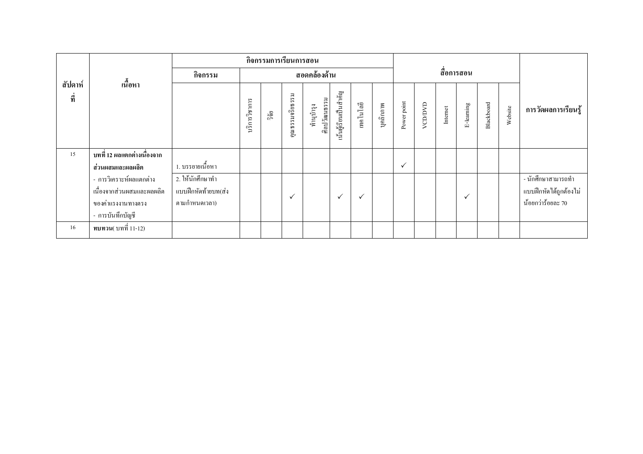|                |                              |                     |               |       | กิจกรรมการเรียนการสอน |                           |                       |              |           |             |         |            |              |            |         |                        |
|----------------|------------------------------|---------------------|---------------|-------|-----------------------|---------------------------|-----------------------|--------------|-----------|-------------|---------|------------|--------------|------------|---------|------------------------|
|                |                              | กิจกรรม             |               |       |                       | สอดคล้องด้าน              |                       |              |           |             |         | สื่อการสอน |              |            |         |                        |
| สัปดาห์<br>ที่ | เนื้อหา                      |                     | บริการวิชาการ | ີ້າຢ້ | π<br>คุณธรรมจริยธร    | ศิลปวัฒนธรรม<br>ทำนูบำรุง | นั้นผู้เรียนเป็นสำคัญ | เทคโนโลยี    | บุคลิกภาพ | Power point | VCD/DVD | Internet   | E-leaming    | Blackboard | Website | การวัดผลการเรียนรู้    |
| 15             | ิบทที่ 12 ผลแตกต่างเนื่องจาก |                     |               |       |                       |                           |                       |              |           |             |         |            |              |            |         |                        |
|                | ส่วนผสมและผลผลิต             | 1. บรรยายเนื้อหา    |               |       |                       |                           |                       |              |           | ✓           |         |            |              |            |         |                        |
|                | - การวิเคราะห์ผลแตกต่าง      | 2. ให้นักศึกษาทำ    |               |       |                       |                           |                       |              |           |             |         |            |              |            |         | - นักศึกษาสามารถทำ     |
|                | เนื่องจากส่วนผสมและผลผลิต    | แบบฝึกหัดท้ายบท(ส่ง |               |       | $\checkmark$          |                           | $\checkmark$          | $\checkmark$ |           |             |         |            | $\checkmark$ |            |         | แบบฝึกหัดใค้ถูกต้องไม่ |
|                | ของค่าแรงงานทางตรง           | ิตามกำหนดเวลา)      |               |       |                       |                           |                       |              |           |             |         |            |              |            |         | น้อยกว่าร้อยละ 70      |
|                | - การบันทึกบัญชี             |                     |               |       |                       |                           |                       |              |           |             |         |            |              |            |         |                        |
| 16             | <b>ทบทวน</b> (บทที่ 11-12)   |                     |               |       |                       |                           |                       |              |           |             |         |            |              |            |         |                        |